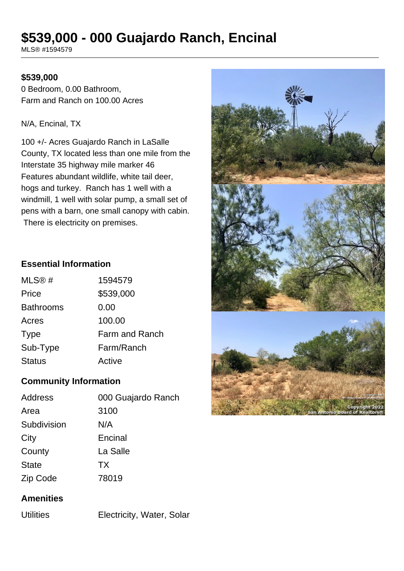# **\$539,000 - 000 Guajardo Ranch, Encinal**

MLS® #1594579

#### **\$539,000**

0 Bedroom, 0.00 Bathroom, Farm and Ranch on 100.00 Acres

#### N/A, Encinal, TX

100 +/- Acres Guajardo Ranch in LaSalle County, TX located less than one mile from the Interstate 35 highway mile marker 46 Features abundant wildlife, white tail deer, hogs and turkey. Ranch has 1 well with a windmill, 1 well with solar pump, a small set of pens with a barn, one small canopy with cabin. There is electricity on premises.

#### **Essential Information**

| MLS@#            | 1594579        |
|------------------|----------------|
| Price            | \$539,000      |
| <b>Bathrooms</b> | 0.00           |
| Acres            | 100.00         |
| <b>Type</b>      | Farm and Ranch |
| Sub-Type         | Farm/Ranch     |
| <b>Status</b>    | Active         |

### **Community Information**

| Address      | 000 Guajardo Ranch |
|--------------|--------------------|
| Area         | 3100               |
| Subdivision  | N/A                |
| City         | Encinal            |
| County       | La Salle           |
| <b>State</b> | <b>TX</b>          |
| Zip Code     | 78019              |

### **Amenities**

Utilities Electricity, Water, Solar